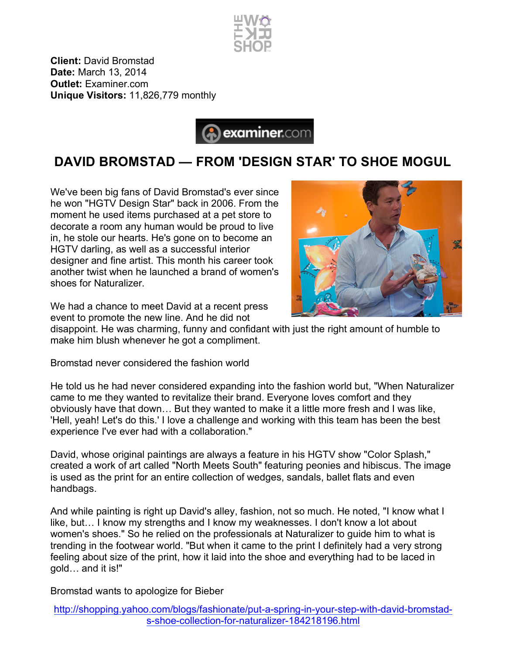

**Client:** David Bromstad **Date:** March 13, 2014 **Outlet:** Examiner.com **Unique Visitors:** 11,826,779 monthly



## **DAVID BROMSTAD — FROM 'DESIGN STAR' TO SHOE MOGUL**

We've been big fans of David Bromstad's ever since he won "HGTV Design Star" back in 2006. From the moment he used items purchased at a pet store to decorate a room any human would be proud to live in, he stole our hearts. He's gone on to become an HGTV darling, as well as a successful interior designer and fine artist. This month his career took another twist when he launched a brand of women's shoes for Naturalizer.



We had a chance to meet David at a recent press event to promote the new line. And he did not

disappoint. He was charming, funny and confidant with just the right amount of humble to make him blush whenever he got a compliment.

Bromstad never considered the fashion world

He told us he had never considered expanding into the fashion world but, "When Naturalizer came to me they wanted to revitalize their brand. Everyone loves comfort and they obviously have that down… But they wanted to make it a little more fresh and I was like, 'Hell, yeah! Let's do this.' I love a challenge and working with this team has been the best experience I've ever had with a collaboration."

David, whose original paintings are always a feature in his HGTV show "Color Splash," created a work of art called "North Meets South" featuring peonies and hibiscus. The image is used as the print for an entire collection of wedges, sandals, ballet flats and even handbags.

And while painting is right up David's alley, fashion, not so much. He noted, "I know what I like, but… I know my strengths and I know my weaknesses. I don't know a lot about women's shoes." So he relied on the professionals at Naturalizer to guide him to what is trending in the footwear world. "But when it came to the print I definitely had a very strong feeling about size of the print, how it laid into the shoe and everything had to be laced in gold… and it is!"

Bromstad wants to apologize for Bieber

http://shopping.yahoo.com/blogs/fashionate/put-a-spring-in-your-step-with-david-bromstads-shoe-collection-for-naturalizer-184218196.html